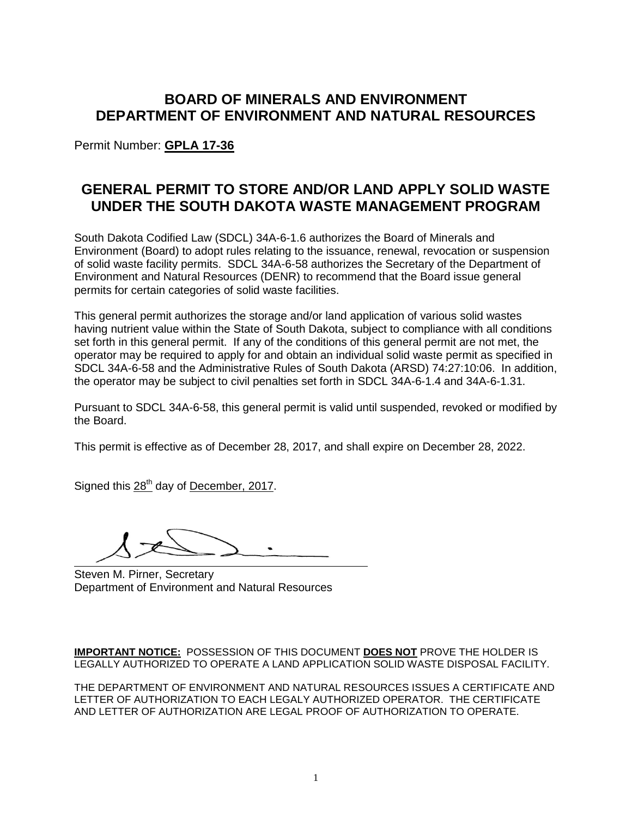# **BOARD OF MINERALS AND ENVIRONMENT DEPARTMENT OF ENVIRONMENT AND NATURAL RESOURCES**

Permit Number: **GPLA 17-36**

# **GENERAL PERMIT TO STORE AND/OR LAND APPLY SOLID WASTE UNDER THE SOUTH DAKOTA WASTE MANAGEMENT PROGRAM**

South Dakota Codified Law (SDCL) 34A-6-1.6 authorizes the Board of Minerals and Environment (Board) to adopt rules relating to the issuance, renewal, revocation or suspension of solid waste facility permits. SDCL 34A-6-58 authorizes the Secretary of the Department of Environment and Natural Resources (DENR) to recommend that the Board issue general permits for certain categories of solid waste facilities.

This general permit authorizes the storage and/or land application of various solid wastes having nutrient value within the State of South Dakota, subject to compliance with all conditions set forth in this general permit. If any of the conditions of this general permit are not met, the operator may be required to apply for and obtain an individual solid waste permit as specified in SDCL 34A-6-58 and the Administrative Rules of South Dakota (ARSD) 74:27:10:06. In addition, the operator may be subject to civil penalties set forth in SDCL 34A-6-1.4 and 34A-6-1.31.

Pursuant to SDCL 34A-6-58, this general permit is valid until suspended, revoked or modified by the Board.

This permit is effective as of December 28, 2017, and shall expire on December 28, 2022.

Signed this 28<sup>th</sup> day of December, 2017.

Steven M. Pirner, Secretary Department of Environment and Natural Resources

**IMPORTANT NOTICE:** POSSESSION OF THIS DOCUMENT **DOES NOT** PROVE THE HOLDER IS LEGALLY AUTHORIZED TO OPERATE A LAND APPLICATION SOLID WASTE DISPOSAL FACILITY.

THE DEPARTMENT OF ENVIRONMENT AND NATURAL RESOURCES ISSUES A CERTIFICATE AND LETTER OF AUTHORIZATION TO EACH LEGALY AUTHORIZED OPERATOR. THE CERTIFICATE AND LETTER OF AUTHORIZATION ARE LEGAL PROOF OF AUTHORIZATION TO OPERATE.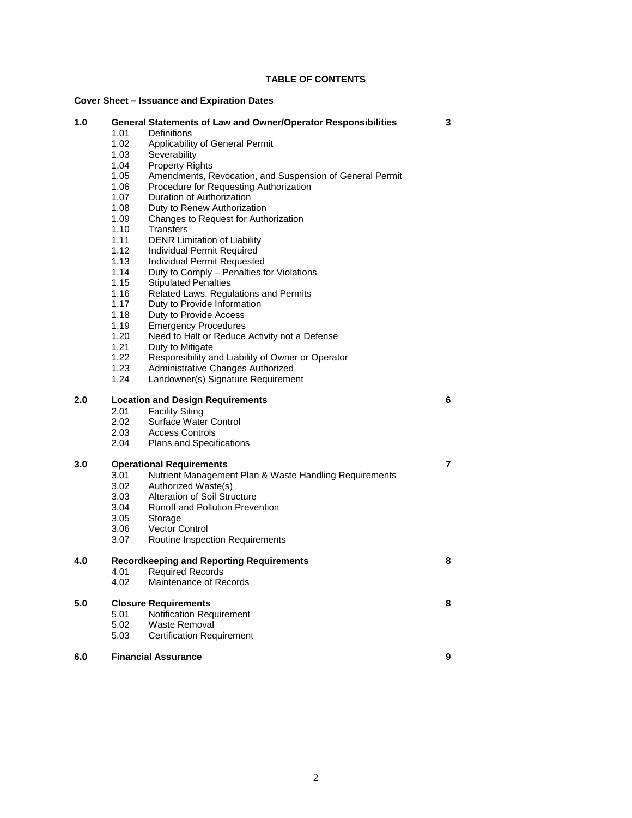## **TABLE OF CONTENTS**

## **Cover Sheet – Issuance and Expiration Dates**

| Cover Sheet – Issuance and Expiration Dates |                                                 |                                                                                     |   |
|---------------------------------------------|-------------------------------------------------|-------------------------------------------------------------------------------------|---|
| 1.0                                         | 1.01                                            | <b>General Statements of Law and Owner/Operator Responsibilities</b><br>Definitions | 3 |
|                                             | 1.02                                            | Applicability of General Permit                                                     |   |
|                                             | 1.03                                            | Severability                                                                        |   |
|                                             | 1.04                                            | <b>Property Rights</b>                                                              |   |
|                                             | 1.05                                            | Amendments, Revocation, and Suspension of General Permit                            |   |
|                                             | 1.06                                            | Procedure for Requesting Authorization                                              |   |
|                                             | 1.07                                            | Duration of Authorization                                                           |   |
|                                             | 1.08                                            | Duty to Renew Authorization                                                         |   |
|                                             | 1.09                                            | Changes to Request for Authorization                                                |   |
|                                             | 1.10                                            | <b>Transfers</b>                                                                    |   |
|                                             | 1.11                                            | <b>DENR Limitation of Liability</b>                                                 |   |
|                                             | 1.12                                            | Individual Permit Required                                                          |   |
|                                             | 1.13                                            | Individual Permit Requested                                                         |   |
|                                             | 1.14                                            | Duty to Comply - Penalties for Violations                                           |   |
|                                             | 1.15                                            | <b>Stipulated Penalties</b>                                                         |   |
|                                             | 1.16                                            | Related Laws, Regulations and Permits                                               |   |
|                                             | 1.17                                            | Duty to Provide Information                                                         |   |
|                                             | 1.18                                            | Duty to Provide Access                                                              |   |
|                                             | 1.19                                            | <b>Emergency Procedures</b>                                                         |   |
|                                             | 1.20                                            | Need to Halt or Reduce Activity not a Defense                                       |   |
|                                             | 1.21                                            | Duty to Mitigate                                                                    |   |
|                                             | 1.22                                            | Responsibility and Liability of Owner or Operator                                   |   |
|                                             | 1.23                                            | Administrative Changes Authorized                                                   |   |
|                                             | 1.24                                            | Landowner(s) Signature Requirement                                                  |   |
| 2.0                                         | <b>Location and Design Requirements</b>         |                                                                                     | 6 |
|                                             | 2.01                                            | <b>Facility Siting</b>                                                              |   |
|                                             | 2.02 <sub>1</sub>                               | Surface Water Control                                                               |   |
|                                             | 2.03                                            | <b>Access Controls</b>                                                              |   |
|                                             | 2.04                                            | <b>Plans and Specifications</b>                                                     |   |
| 3.0                                         | <b>Operational Requirements</b>                 |                                                                                     | 7 |
|                                             | 3.01                                            | Nutrient Management Plan & Waste Handling Requirements                              |   |
|                                             | 3.02                                            | Authorized Waste(s)                                                                 |   |
|                                             | 3.03                                            | <b>Alteration of Soil Structure</b>                                                 |   |
|                                             | 3.04                                            | <b>Runoff and Pollution Prevention</b>                                              |   |
|                                             | 3.05                                            | Storage                                                                             |   |
|                                             | 3.06                                            | <b>Vector Control</b>                                                               |   |
|                                             | 3.07                                            | Routine Inspection Requirements                                                     |   |
| 4.0                                         | <b>Recordkeeping and Reporting Requirements</b> |                                                                                     | 8 |
|                                             | 4.01                                            | <b>Required Records</b>                                                             |   |
|                                             | 4.02                                            | Maintenance of Records                                                              |   |
| 5.0                                         | <b>Closure Requirements</b>                     |                                                                                     | 8 |
|                                             | 5.01                                            | Notification Requirement                                                            |   |
|                                             | 5.02                                            | Waste Removal                                                                       |   |
|                                             | 5.03                                            | <b>Certification Requirement</b>                                                    |   |
| 6.0                                         |                                                 | <b>Financial Assurance</b>                                                          | 9 |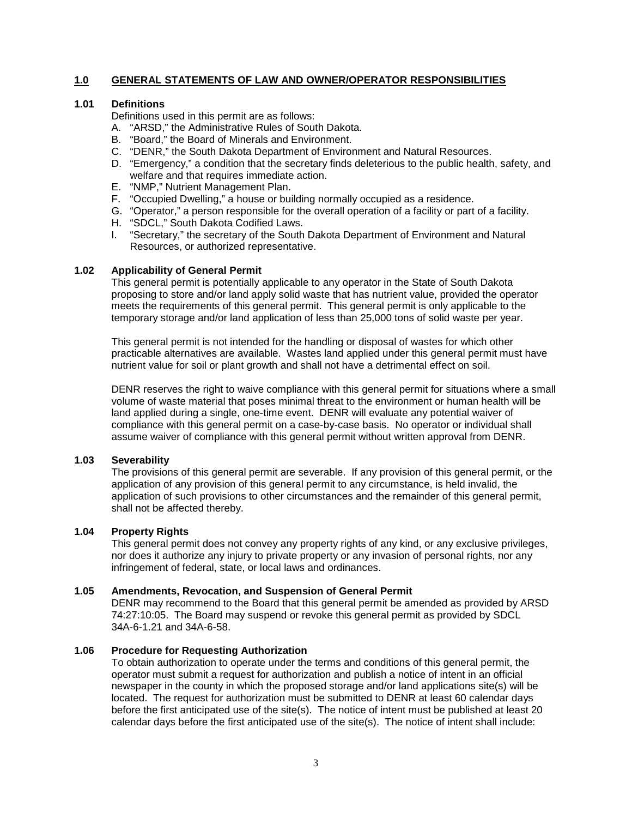## **1.0 GENERAL STATEMENTS OF LAW AND OWNER/OPERATOR RESPONSIBILITIES**

## **1.01 Definitions**

Definitions used in this permit are as follows:

- A. "ARSD," the Administrative Rules of South Dakota.
- B. "Board," the Board of Minerals and Environment.
- C. "DENR," the South Dakota Department of Environment and Natural Resources.
- D. "Emergency," a condition that the secretary finds deleterious to the public health, safety, and welfare and that requires immediate action.
- E. "NMP," Nutrient Management Plan.
- F. "Occupied Dwelling," a house or building normally occupied as a residence.
- G. "Operator," a person responsible for the overall operation of a facility or part of a facility.
- H. "SDCL," South Dakota Codified Laws.
- I. "Secretary," the secretary of the South Dakota Department of Environment and Natural Resources, or authorized representative.

## **1.02 Applicability of General Permit**

This general permit is potentially applicable to any operator in the State of South Dakota proposing to store and/or land apply solid waste that has nutrient value, provided the operator meets the requirements of this general permit. This general permit is only applicable to the temporary storage and/or land application of less than 25,000 tons of solid waste per year.

This general permit is not intended for the handling or disposal of wastes for which other practicable alternatives are available. Wastes land applied under this general permit must have nutrient value for soil or plant growth and shall not have a detrimental effect on soil.

DENR reserves the right to waive compliance with this general permit for situations where a small volume of waste material that poses minimal threat to the environment or human health will be land applied during a single, one-time event. DENR will evaluate any potential waiver of compliance with this general permit on a case-by-case basis. No operator or individual shall assume waiver of compliance with this general permit without written approval from DENR.

## **1.03 Severability**

The provisions of this general permit are severable. If any provision of this general permit, or the application of any provision of this general permit to any circumstance, is held invalid, the application of such provisions to other circumstances and the remainder of this general permit, shall not be affected thereby.

## **1.04 Property Rights**

This general permit does not convey any property rights of any kind, or any exclusive privileges, nor does it authorize any injury to private property or any invasion of personal rights, nor any infringement of federal, state, or local laws and ordinances.

## **1.05 Amendments, Revocation, and Suspension of General Permit**

DENR may recommend to the Board that this general permit be amended as provided by ARSD 74:27:10:05. The Board may suspend or revoke this general permit as provided by SDCL 34A-6-1.21 and 34A-6-58.

## **1.06 Procedure for Requesting Authorization**

To obtain authorization to operate under the terms and conditions of this general permit, the operator must submit a request for authorization and publish a notice of intent in an official newspaper in the county in which the proposed storage and/or land applications site(s) will be located. The request for authorization must be submitted to DENR at least 60 calendar days before the first anticipated use of the site(s). The notice of intent must be published at least 20 calendar days before the first anticipated use of the site(s). The notice of intent shall include: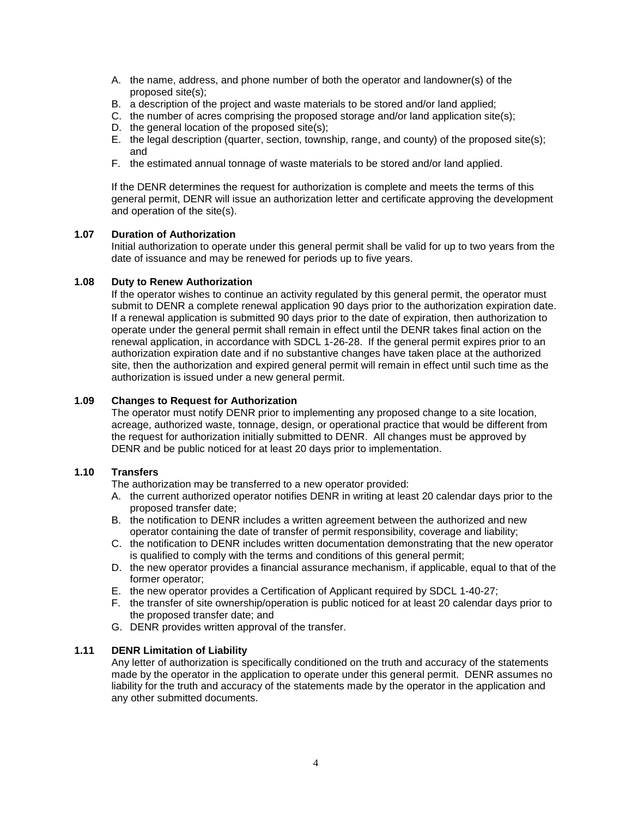- A. the name, address, and phone number of both the operator and landowner(s) of the proposed site(s);
- B. a description of the project and waste materials to be stored and/or land applied;
- C. the number of acres comprising the proposed storage and/or land application site(s);
- D. the general location of the proposed site(s);
- E. the legal description (quarter, section, township, range, and county) of the proposed site(s); and
- F. the estimated annual tonnage of waste materials to be stored and/or land applied.

If the DENR determines the request for authorization is complete and meets the terms of this general permit, DENR will issue an authorization letter and certificate approving the development and operation of the site(s).

## **1.07 Duration of Authorization**

Initial authorization to operate under this general permit shall be valid for up to two years from the date of issuance and may be renewed for periods up to five years.

## **1.08 Duty to Renew Authorization**

If the operator wishes to continue an activity regulated by this general permit, the operator must submit to DENR a complete renewal application 90 days prior to the authorization expiration date. If a renewal application is submitted 90 days prior to the date of expiration, then authorization to operate under the general permit shall remain in effect until the DENR takes final action on the renewal application, in accordance with SDCL 1-26-28. If the general permit expires prior to an authorization expiration date and if no substantive changes have taken place at the authorized site, then the authorization and expired general permit will remain in effect until such time as the authorization is issued under a new general permit.

## **1.09 Changes to Request for Authorization**

The operator must notify DENR prior to implementing any proposed change to a site location, acreage, authorized waste, tonnage, design, or operational practice that would be different from the request for authorization initially submitted to DENR. All changes must be approved by DENR and be public noticed for at least 20 days prior to implementation.

## **1.10 Transfers**

The authorization may be transferred to a new operator provided:

- A. the current authorized operator notifies DENR in writing at least 20 calendar days prior to the proposed transfer date;
- B. the notification to DENR includes a written agreement between the authorized and new operator containing the date of transfer of permit responsibility, coverage and liability;
- C. the notification to DENR includes written documentation demonstrating that the new operator is qualified to comply with the terms and conditions of this general permit;
- D. the new operator provides a financial assurance mechanism, if applicable, equal to that of the former operator;
- E. the new operator provides a Certification of Applicant required by SDCL 1-40-27;
- F. the transfer of site ownership/operation is public noticed for at least 20 calendar days prior to the proposed transfer date; and
- G. DENR provides written approval of the transfer.

## **1.11 DENR Limitation of Liability**

Any letter of authorization is specifically conditioned on the truth and accuracy of the statements made by the operator in the application to operate under this general permit. DENR assumes no liability for the truth and accuracy of the statements made by the operator in the application and any other submitted documents.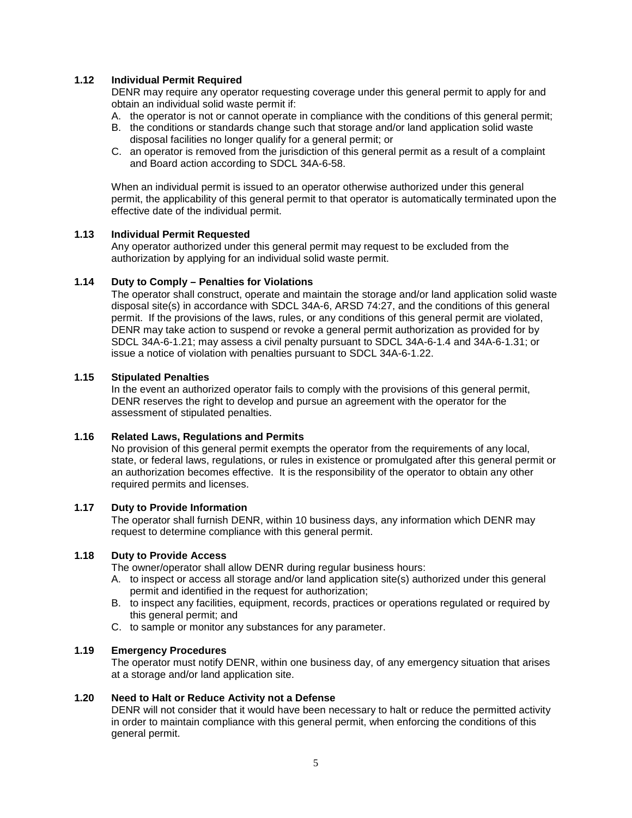## **1.12 Individual Permit Required**

DENR may require any operator requesting coverage under this general permit to apply for and obtain an individual solid waste permit if:

- A. the operator is not or cannot operate in compliance with the conditions of this general permit;
- B. the conditions or standards change such that storage and/or land application solid waste disposal facilities no longer qualify for a general permit; or
- C. an operator is removed from the jurisdiction of this general permit as a result of a complaint and Board action according to SDCL 34A-6-58.

When an individual permit is issued to an operator otherwise authorized under this general permit, the applicability of this general permit to that operator is automatically terminated upon the effective date of the individual permit.

#### **1.13 Individual Permit Requested**

Any operator authorized under this general permit may request to be excluded from the authorization by applying for an individual solid waste permit.

## **1.14 Duty to Comply – Penalties for Violations**

The operator shall construct, operate and maintain the storage and/or land application solid waste disposal site(s) in accordance with SDCL 34A-6, ARSD 74:27, and the conditions of this general permit. If the provisions of the laws, rules, or any conditions of this general permit are violated, DENR may take action to suspend or revoke a general permit authorization as provided for by SDCL 34A-6-1.21; may assess a civil penalty pursuant to SDCL 34A-6-1.4 and 34A-6-1.31; or issue a notice of violation with penalties pursuant to SDCL 34A-6-1.22.

## **1.15 Stipulated Penalties**

In the event an authorized operator fails to comply with the provisions of this general permit, DENR reserves the right to develop and pursue an agreement with the operator for the assessment of stipulated penalties.

## **1.16 Related Laws, Regulations and Permits**

No provision of this general permit exempts the operator from the requirements of any local, state, or federal laws, regulations, or rules in existence or promulgated after this general permit or an authorization becomes effective. It is the responsibility of the operator to obtain any other required permits and licenses.

## **1.17 Duty to Provide Information**

The operator shall furnish DENR, within 10 business days, any information which DENR may request to determine compliance with this general permit.

## **1.18 Duty to Provide Access**

The owner/operator shall allow DENR during regular business hours:

- A. to inspect or access all storage and/or land application site(s) authorized under this general permit and identified in the request for authorization;
- B. to inspect any facilities, equipment, records, practices or operations regulated or required by this general permit; and
- C. to sample or monitor any substances for any parameter.

## **1.19 Emergency Procedures**

The operator must notify DENR, within one business day, of any emergency situation that arises at a storage and/or land application site.

## **1.20 Need to Halt or Reduce Activity not a Defense**

DENR will not consider that it would have been necessary to halt or reduce the permitted activity in order to maintain compliance with this general permit, when enforcing the conditions of this general permit.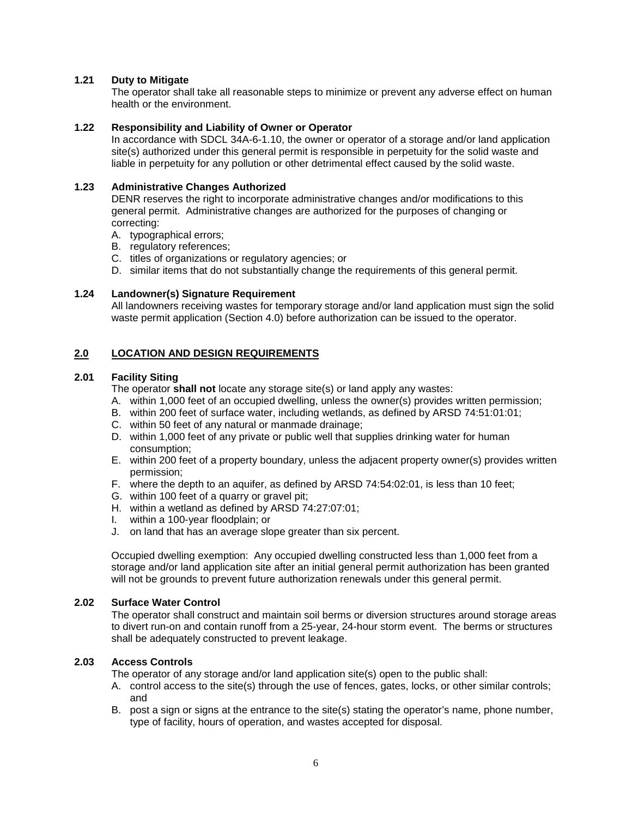## **1.21 Duty to Mitigate**

The operator shall take all reasonable steps to minimize or prevent any adverse effect on human health or the environment.

## **1.22 Responsibility and Liability of Owner or Operator**

In accordance with SDCL 34A-6-1.10, the owner or operator of a storage and/or land application site(s) authorized under this general permit is responsible in perpetuity for the solid waste and liable in perpetuity for any pollution or other detrimental effect caused by the solid waste.

## **1.23 Administrative Changes Authorized**

DENR reserves the right to incorporate administrative changes and/or modifications to this general permit. Administrative changes are authorized for the purposes of changing or correcting:

- A. typographical errors;
- B. regulatory references;
- C. titles of organizations or regulatory agencies; or

D. similar items that do not substantially change the requirements of this general permit.

## **1.24 Landowner(s) Signature Requirement**

All landowners receiving wastes for temporary storage and/or land application must sign the solid waste permit application (Section 4.0) before authorization can be issued to the operator.

# **2.0 LOCATION AND DESIGN REQUIREMENTS**

## **2.01 Facility Siting**

The operator **shall not** locate any storage site(s) or land apply any wastes:

- A. within 1,000 feet of an occupied dwelling, unless the owner(s) provides written permission;
- B. within 200 feet of surface water, including wetlands, as defined by ARSD 74:51:01:01;
- C. within 50 feet of any natural or manmade drainage;
- D. within 1,000 feet of any private or public well that supplies drinking water for human consumption;
- E. within 200 feet of a property boundary, unless the adjacent property owner(s) provides written permission;
- F. where the depth to an aquifer, as defined by ARSD 74:54:02:01, is less than 10 feet;
- G. within 100 feet of a quarry or gravel pit;
- H. within a wetland as defined by ARSD 74:27:07:01;
- I. within a 100-year floodplain; or
- J. on land that has an average slope greater than six percent.

Occupied dwelling exemption: Any occupied dwelling constructed less than 1,000 feet from a storage and/or land application site after an initial general permit authorization has been granted will not be grounds to prevent future authorization renewals under this general permit.

## **2.02 Surface Water Control**

The operator shall construct and maintain soil berms or diversion structures around storage areas to divert run-on and contain runoff from a 25-year, 24-hour storm event. The berms or structures shall be adequately constructed to prevent leakage.

## **2.03 Access Controls**

The operator of any storage and/or land application site(s) open to the public shall:

- A. control access to the site(s) through the use of fences, gates, locks, or other similar controls; and
- B. post a sign or signs at the entrance to the site(s) stating the operator's name, phone number, type of facility, hours of operation, and wastes accepted for disposal.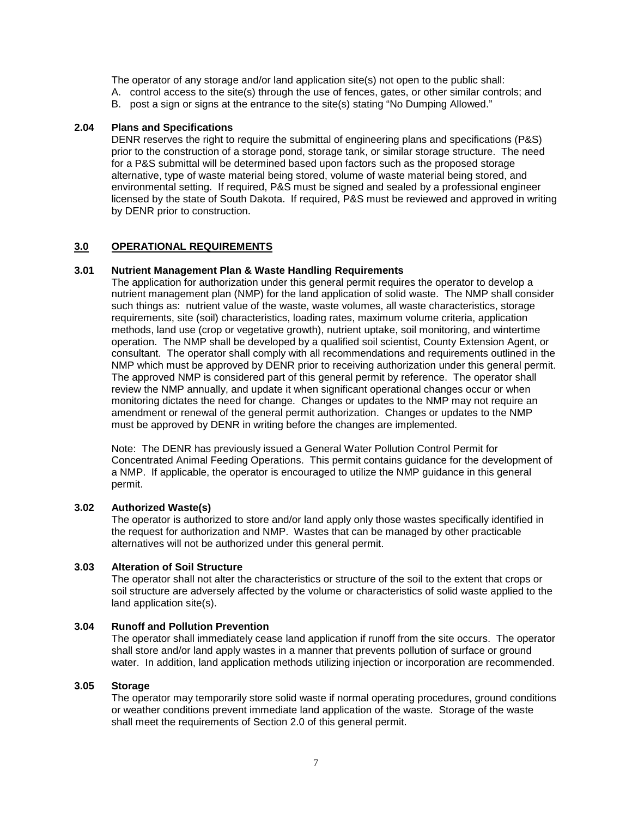The operator of any storage and/or land application site(s) not open to the public shall:

- A. control access to the site(s) through the use of fences, gates, or other similar controls; and
- B. post a sign or signs at the entrance to the site(s) stating "No Dumping Allowed."

## **2.04 Plans and Specifications**

DENR reserves the right to require the submittal of engineering plans and specifications (P&S) prior to the construction of a storage pond, storage tank, or similar storage structure. The need for a P&S submittal will be determined based upon factors such as the proposed storage alternative, type of waste material being stored, volume of waste material being stored, and environmental setting. If required, P&S must be signed and sealed by a professional engineer licensed by the state of South Dakota. If required, P&S must be reviewed and approved in writing by DENR prior to construction.

## **3.0 OPERATIONAL REQUIREMENTS**

## **3.01 Nutrient Management Plan & Waste Handling Requirements**

The application for authorization under this general permit requires the operator to develop a nutrient management plan (NMP) for the land application of solid waste. The NMP shall consider such things as: nutrient value of the waste, waste volumes, all waste characteristics, storage requirements, site (soil) characteristics, loading rates, maximum volume criteria, application methods, land use (crop or vegetative growth), nutrient uptake, soil monitoring, and wintertime operation. The NMP shall be developed by a qualified soil scientist, County Extension Agent, or consultant. The operator shall comply with all recommendations and requirements outlined in the NMP which must be approved by DENR prior to receiving authorization under this general permit. The approved NMP is considered part of this general permit by reference. The operator shall review the NMP annually, and update it when significant operational changes occur or when monitoring dictates the need for change. Changes or updates to the NMP may not require an amendment or renewal of the general permit authorization. Changes or updates to the NMP must be approved by DENR in writing before the changes are implemented.

Note: The DENR has previously issued a General Water Pollution Control Permit for Concentrated Animal Feeding Operations. This permit contains guidance for the development of a NMP. If applicable, the operator is encouraged to utilize the NMP guidance in this general permit.

## **3.02 Authorized Waste(s)**

The operator is authorized to store and/or land apply only those wastes specifically identified in the request for authorization and NMP. Wastes that can be managed by other practicable alternatives will not be authorized under this general permit.

#### **3.03 Alteration of Soil Structure**

The operator shall not alter the characteristics or structure of the soil to the extent that crops or soil structure are adversely affected by the volume or characteristics of solid waste applied to the land application site(s).

## **3.04 Runoff and Pollution Prevention**

The operator shall immediately cease land application if runoff from the site occurs. The operator shall store and/or land apply wastes in a manner that prevents pollution of surface or ground water. In addition, land application methods utilizing injection or incorporation are recommended.

#### **3.05 Storage**

The operator may temporarily store solid waste if normal operating procedures, ground conditions or weather conditions prevent immediate land application of the waste. Storage of the waste shall meet the requirements of Section 2.0 of this general permit.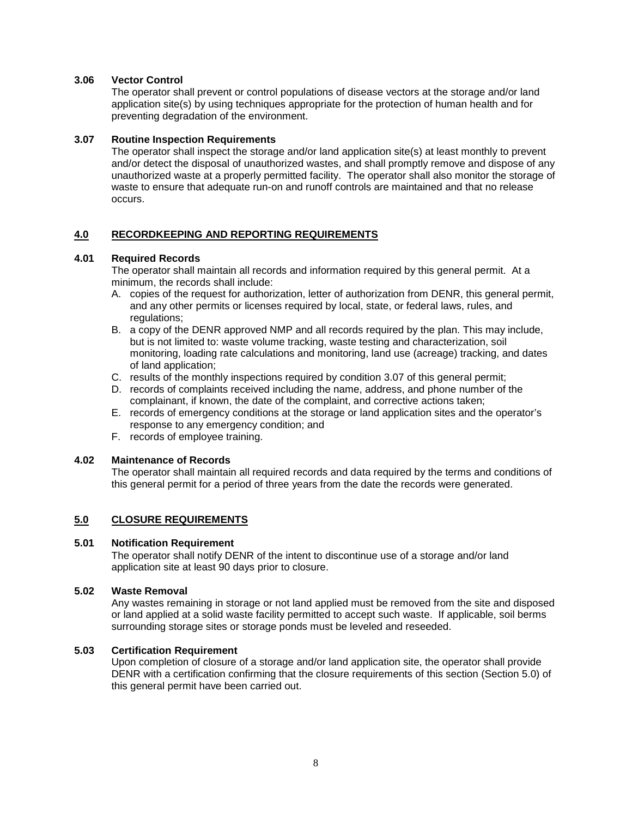## **3.06 Vector Control**

The operator shall prevent or control populations of disease vectors at the storage and/or land application site(s) by using techniques appropriate for the protection of human health and for preventing degradation of the environment.

## **3.07 Routine Inspection Requirements**

The operator shall inspect the storage and/or land application site(s) at least monthly to prevent and/or detect the disposal of unauthorized wastes, and shall promptly remove and dispose of any unauthorized waste at a properly permitted facility. The operator shall also monitor the storage of waste to ensure that adequate run-on and runoff controls are maintained and that no release occurs.

## **4.0 RECORDKEEPING AND REPORTING REQUIREMENTS**

## **4.01 Required Records**

The operator shall maintain all records and information required by this general permit. At a minimum, the records shall include:

- A. copies of the request for authorization, letter of authorization from DENR, this general permit, and any other permits or licenses required by local, state, or federal laws, rules, and regulations;
- B. a copy of the DENR approved NMP and all records required by the plan. This may include, but is not limited to: waste volume tracking, waste testing and characterization, soil monitoring, loading rate calculations and monitoring, land use (acreage) tracking, and dates of land application;
- C. results of the monthly inspections required by condition 3.07 of this general permit;
- D. records of complaints received including the name, address, and phone number of the complainant, if known, the date of the complaint, and corrective actions taken;
- E. records of emergency conditions at the storage or land application sites and the operator's response to any emergency condition; and
- F. records of employee training.

## **4.02 Maintenance of Records**

The operator shall maintain all required records and data required by the terms and conditions of this general permit for a period of three years from the date the records were generated.

## **5.0 CLOSURE REQUIREMENTS**

## **5.01 Notification Requirement**

The operator shall notify DENR of the intent to discontinue use of a storage and/or land application site at least 90 days prior to closure.

## **5.02 Waste Removal**

Any wastes remaining in storage or not land applied must be removed from the site and disposed or land applied at a solid waste facility permitted to accept such waste. If applicable, soil berms surrounding storage sites or storage ponds must be leveled and reseeded.

## **5.03 Certification Requirement**

Upon completion of closure of a storage and/or land application site, the operator shall provide DENR with a certification confirming that the closure requirements of this section (Section 5.0) of this general permit have been carried out.